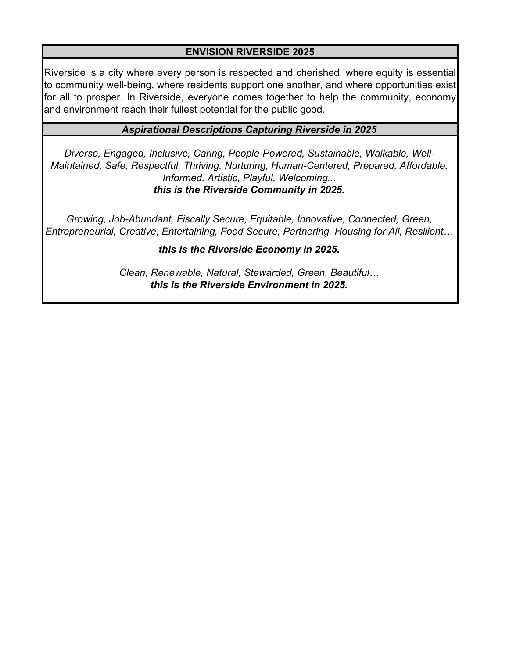## **ENVISION RIVERSIDE 2025**

Riverside is a city where every person is respected and cherished, where equity is essential to community well-being, where residents support one another, and where opportunities exist for all to prosper. In Riverside, everyone comes together to help the community, economy and environment reach their fullest potential for the public good.

# *Aspirational Descriptions Capturing Riverside in 2025*

*Diverse, Engaged, Inclusive, Caring, People-Powered, Sustainable, Walkable, Well-Maintained, Safe, Respectful, Thriving, Nurturing, Human-Centered, Prepared, Affordable, Informed, Artistic, Playful, Welcoming... this is the Riverside Community in 2025.*

*Growing, Job-Abundant, Fiscally Secure, Equitable, Innovative, Connected, Green, Entrepreneurial, Creative, Entertaining, Food Secure, Partnering, Housing for All, Resilient…*

*this is the Riverside Economy in 2025.*

*Clean, Renewable, Natural, Stewarded, Green, Beautiful… this is the Riverside Environment in 2025.*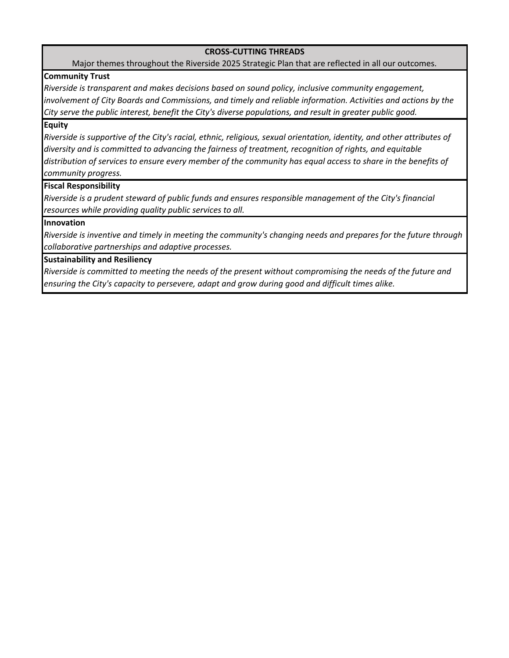#### **CROSS‐CUTTING THREADS**

Major themes throughout the Riverside 2025 Strategic Plan that are reflected in all our outcomes.

### **Community Trust**

*Riverside is transparent and makes decisions based on sound policy, inclusive community engagement, involvement of City Boards and Commissions, and timely and reliable information. Activities and actions by the City serve the public interest, benefit the City's diverse populations, and result in greater public good.*

#### **Equity**

Riverside is supportive of the City's racial, ethnic, religious, sexual orientation, identity, and other attributes of *diversity and is committed to advancing the fairness of treatment, recognition of rights, and equitable* distribution of services to ensure every member of the community has equal access to share in the benefits of *community progress.*

#### **Fiscal Responsibility**

*Riverside is a prudent steward of public funds and ensures responsible management of the City's financial resources while providing quality public services to all.* 

#### **Innovation**

Riverside is inventive and timely in meeting the community's changing needs and prepares for the future through *collaborative partnerships and adaptive processes.*

#### **Sustainability and Resiliency**

Riverside is committed to meeting the needs of the present without compromising the needs of the future and *ensuring the City's capacity to persevere, adapt and grow during good and difficult times alike.*